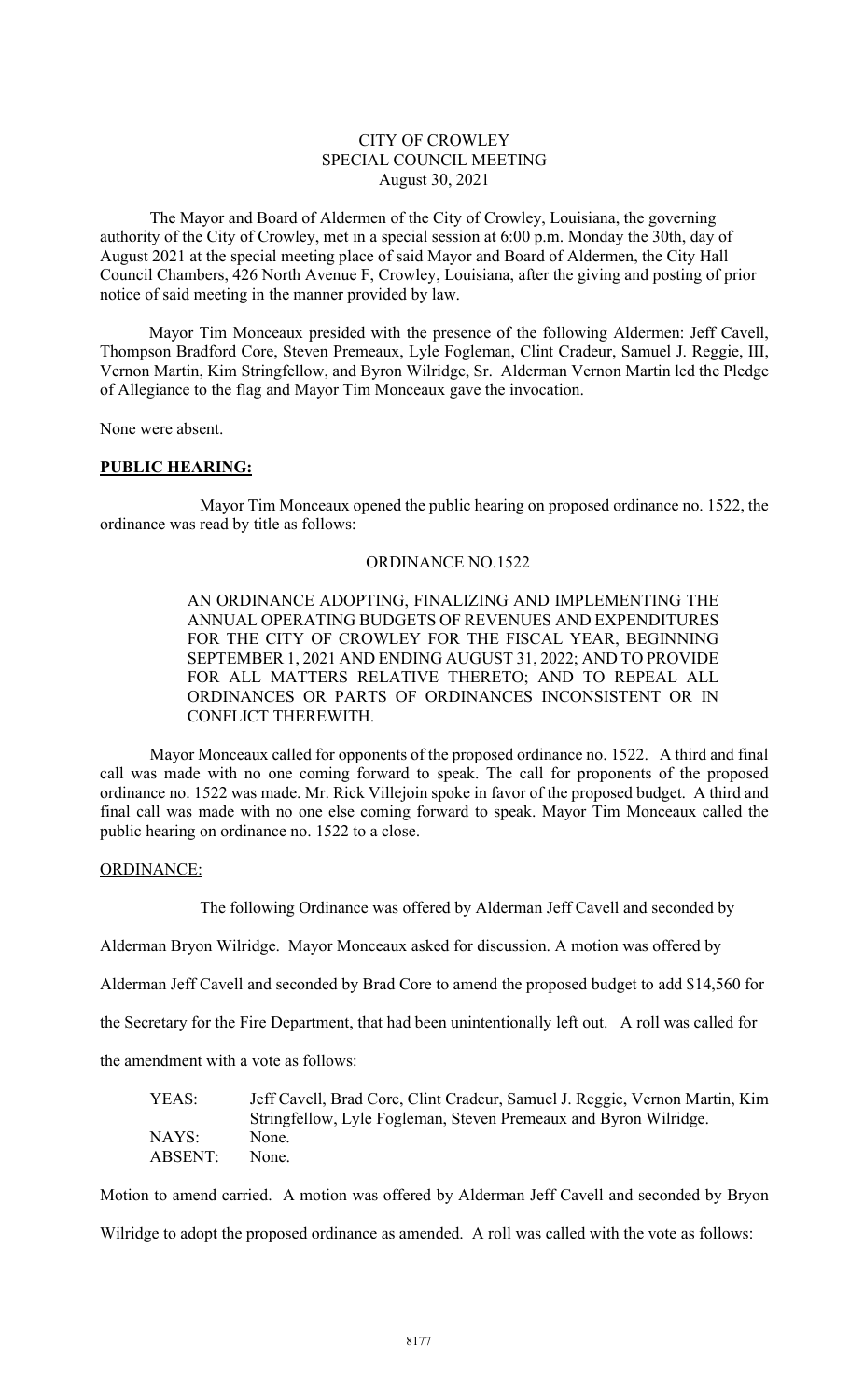#### CITY OF CROWLEY SPECIAL COUNCIL MEETING August 30, 2021

The Mayor and Board of Aldermen of the City of Crowley, Louisiana, the governing authority of the City of Crowley, met in a special session at 6:00 p.m. Monday the 30th, day of August 2021 at the special meeting place of said Mayor and Board of Aldermen, the City Hall Council Chambers, 426 North Avenue F, Crowley, Louisiana, after the giving and posting of prior notice of said meeting in the manner provided by law.

 Mayor Tim Monceaux presided with the presence of the following Aldermen: Jeff Cavell, Thompson Bradford Core, Steven Premeaux, Lyle Fogleman, Clint Cradeur, Samuel J. Reggie, III, Vernon Martin, Kim Stringfellow, and Byron Wilridge, Sr. Alderman Vernon Martin led the Pledge of Allegiance to the flag and Mayor Tim Monceaux gave the invocation.

None were absent.

#### PUBLIC HEARING:

 Mayor Tim Monceaux opened the public hearing on proposed ordinance no. 1522, the ordinance was read by title as follows:

#### ORDINANCE NO.1522

AN ORDINANCE ADOPTING, FINALIZING AND IMPLEMENTING THE ANNUAL OPERATING BUDGETS OF REVENUES AND EXPENDITURES FOR THE CITY OF CROWLEY FOR THE FISCAL YEAR, BEGINNING SEPTEMBER 1, 2021 AND ENDING AUGUST 31, 2022; AND TO PROVIDE FOR ALL MATTERS RELATIVE THERETO; AND TO REPEAL ALL ORDINANCES OR PARTS OF ORDINANCES INCONSISTENT OR IN CONFLICT THEREWITH.

Mayor Monceaux called for opponents of the proposed ordinance no. 1522. A third and final call was made with no one coming forward to speak. The call for proponents of the proposed ordinance no. 1522 was made. Mr. Rick Villejoin spoke in favor of the proposed budget. A third and final call was made with no one else coming forward to speak. Mayor Tim Monceaux called the public hearing on ordinance no. 1522 to a close.

#### ORDINANCE:

The following Ordinance was offered by Alderman Jeff Cavell and seconded by

Alderman Bryon Wilridge. Mayor Monceaux asked for discussion. A motion was offered by

Alderman Jeff Cavell and seconded by Brad Core to amend the proposed budget to add \$14,560 for

the Secretary for the Fire Department, that had been unintentionally left out. A roll was called for

the amendment with a vote as follows:

| YEAS:   | Jeff Cavell, Brad Core, Clint Cradeur, Samuel J. Reggie, Vernon Martin, Kim |
|---------|-----------------------------------------------------------------------------|
|         | Stringfellow, Lyle Fogleman, Steven Premeaux and Byron Wilridge.            |
| NAYS:   | None.                                                                       |
| ABSENT: | None.                                                                       |

Motion to amend carried. A motion was offered by Alderman Jeff Cavell and seconded by Bryon Wilridge to adopt the proposed ordinance as amended. A roll was called with the vote as follows: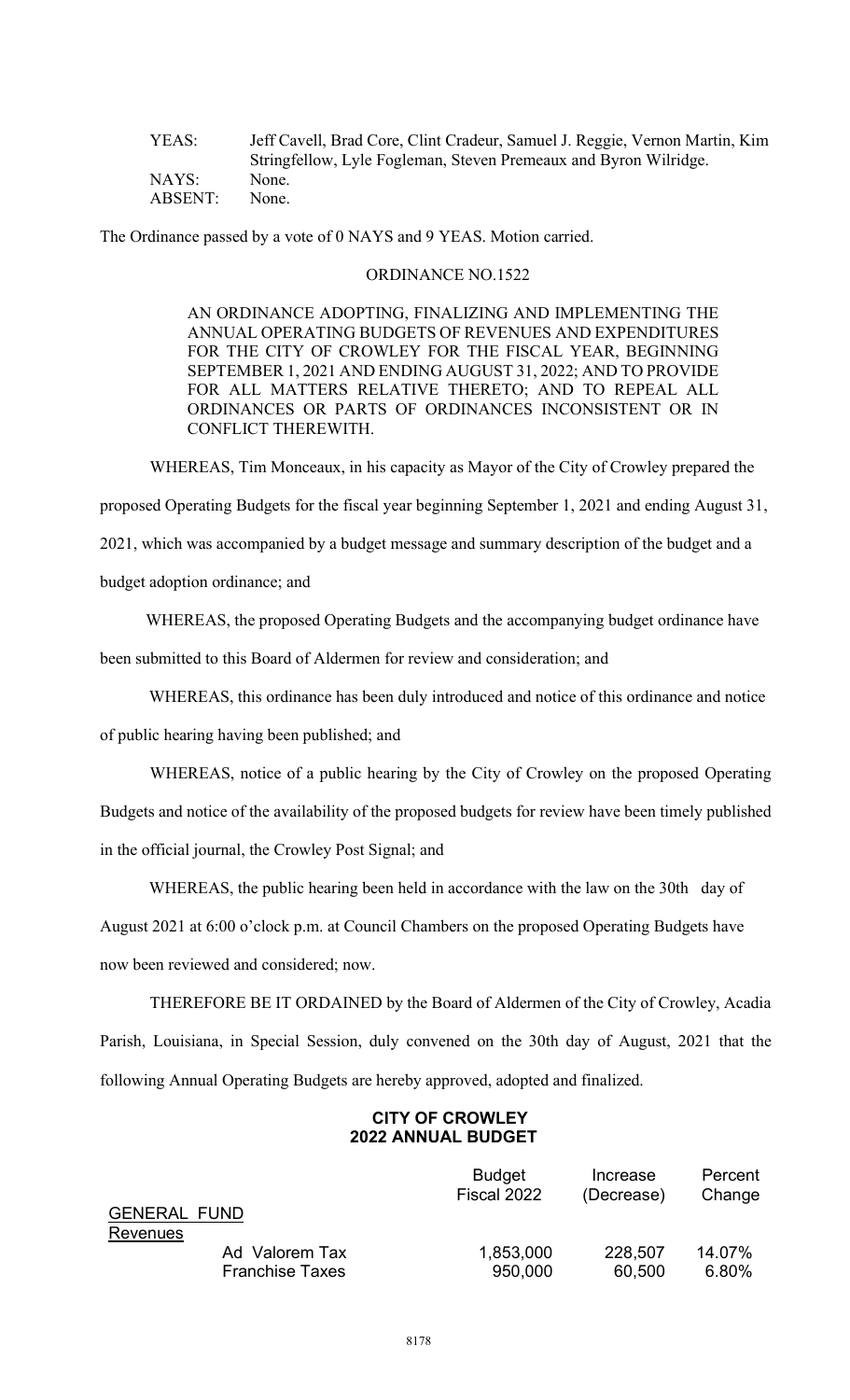| YEAS:   | Jeff Cavell, Brad Core, Clint Cradeur, Samuel J. Reggie, Vernon Martin, Kim |
|---------|-----------------------------------------------------------------------------|
|         | Stringfellow, Lyle Fogleman, Steven Premeaux and Byron Wilridge.            |
| NAYS:   | None.                                                                       |
| ABSENT: | None.                                                                       |

The Ordinance passed by a vote of 0 NAYS and 9 YEAS. Motion carried.

#### ORDINANCE NO.1522

AN ORDINANCE ADOPTING, FINALIZING AND IMPLEMENTING THE ANNUAL OPERATING BUDGETS OF REVENUES AND EXPENDITURES FOR THE CITY OF CROWLEY FOR THE FISCAL YEAR, BEGINNING SEPTEMBER 1, 2021 AND ENDING AUGUST 31, 2022; AND TO PROVIDE FOR ALL MATTERS RELATIVE THERETO; AND TO REPEAL ALL ORDINANCES OR PARTS OF ORDINANCES INCONSISTENT OR IN CONFLICT THEREWITH.

WHEREAS, Tim Monceaux, in his capacity as Mayor of the City of Crowley prepared the

proposed Operating Budgets for the fiscal year beginning September 1, 2021 and ending August 31,

2021, which was accompanied by a budget message and summary description of the budget and a

budget adoption ordinance; and

WHEREAS, the proposed Operating Budgets and the accompanying budget ordinance have

been submitted to this Board of Aldermen for review and consideration; and

WHEREAS, this ordinance has been duly introduced and notice of this ordinance and notice

of public hearing having been published; and

 WHEREAS, notice of a public hearing by the City of Crowley on the proposed Operating Budgets and notice of the availability of the proposed budgets for review have been timely published

in the official journal, the Crowley Post Signal; and

WHEREAS, the public hearing been held in accordance with the law on the 30th day of

August 2021 at 6:00 o'clock p.m. at Council Chambers on the proposed Operating Budgets have now been reviewed and considered; now.

THEREFORE BE IT ORDAINED by the Board of Aldermen of the City of Crowley, Acadia Parish, Louisiana, in Special Session, duly convened on the 30th day of August, 2021 that the following Annual Operating Budgets are hereby approved, adopted and finalized.

# CITY OF CROWLEY 2022 ANNUAL BUDGET

|                     |                        | <b>Budget</b><br>Fiscal 2022 | Increase<br>(Decrease) | Percent<br>Change |
|---------------------|------------------------|------------------------------|------------------------|-------------------|
| <b>GENERAL FUND</b> |                        |                              |                        |                   |
| Revenues            |                        |                              |                        |                   |
|                     | Ad Valorem Tax         | 1,853,000                    | 228,507                | 14.07%            |
|                     | <b>Franchise Taxes</b> | 950,000                      | 60,500                 | 6.80%             |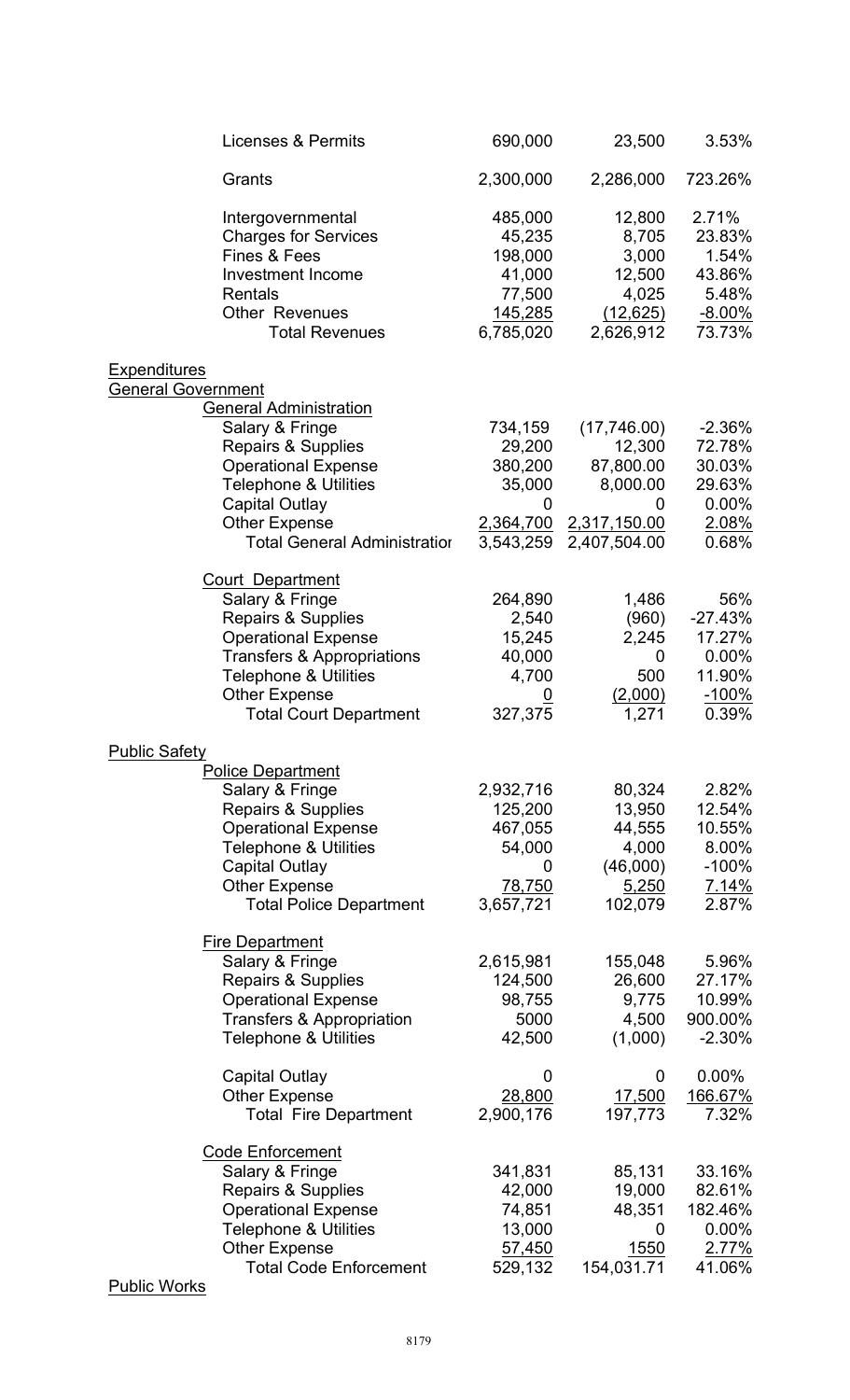| <b>Licenses &amp; Permits</b>                                                                                                                                                                                                                                 | 690,000                                                                  | 23,500                                                                         | 3.53%                                                                  |
|---------------------------------------------------------------------------------------------------------------------------------------------------------------------------------------------------------------------------------------------------------------|--------------------------------------------------------------------------|--------------------------------------------------------------------------------|------------------------------------------------------------------------|
| Grants                                                                                                                                                                                                                                                        | 2,300,000                                                                | 2,286,000                                                                      | 723.26%                                                                |
| Intergovernmental<br><b>Charges for Services</b><br>Fines & Fees<br><b>Investment Income</b><br><b>Rentals</b><br><b>Other Revenues</b><br><b>Total Revenues</b>                                                                                              | 485,000<br>45,235<br>198,000<br>41,000<br>77,500<br>145,285<br>6,785,020 | 12,800<br>8,705<br>3,000<br>12,500<br>4,025<br>(12, 625)<br>2,626,912          | 2.71%<br>23.83%<br>1.54%<br>43.86%<br>5.48%<br>$-8.00\%$<br>73.73%     |
| <b>Expenditures</b>                                                                                                                                                                                                                                           |                                                                          |                                                                                |                                                                        |
| <b>General Government</b><br><b>General Administration</b><br>Salary & Fringe<br>Repairs & Supplies<br><b>Operational Expense</b><br><b>Telephone &amp; Utilities</b><br><b>Capital Outlay</b><br><b>Other Expense</b><br><b>Total General Administration</b> | 734,159<br>29,200<br>380,200<br>35,000<br>0<br>2,364,700<br>3,543,259    | (17,746.00)<br>12,300<br>87,800.00<br>8,000.00<br>2,317,150.00<br>2,407,504.00 | $-2.36%$<br>72.78%<br>30.03%<br>29.63%<br>0.00%<br>2.08%<br>0.68%      |
| <b>Court Department</b><br>Salary & Fringe<br><b>Repairs &amp; Supplies</b><br><b>Operational Expense</b><br><b>Transfers &amp; Appropriations</b><br><b>Telephone &amp; Utilities</b><br><b>Other Expense</b><br><b>Total Court Department</b>               | 264,890<br>2,540<br>15,245<br>40,000<br>4,700<br>327,375                 | 1,486<br>(960)<br>2,245<br>0<br>500<br>(2,000)<br>1,271                        | 56%<br>$-27.43%$<br>17.27%<br>0.00%<br>11.90%<br>$-100%$<br>0.39%      |
| <b>Public Safety</b>                                                                                                                                                                                                                                          |                                                                          |                                                                                |                                                                        |
| <b>Police Department</b><br>Salary & Fringe<br><b>Repairs &amp; Supplies</b><br><b>Operational Expense</b><br><b>Telephone &amp; Utilities</b><br><b>Capital Outlay</b><br><b>Other Expense</b><br><b>Total Police Department</b>                             | 2,932,716<br>125,200<br>467,055<br>54,000<br>0<br>78,750<br>3,657,721    | 80,324<br>13,950<br>44,555<br>4,000<br>(46,000)<br>5,250<br>102,079            | 2.82%<br>12.54%<br>10.55%<br>8.00%<br>$-100%$<br><u>7.14%</u><br>2.87% |
| <b>Fire Department</b><br>Salary & Fringe<br>Repairs & Supplies<br><b>Operational Expense</b><br>Transfers & Appropriation<br><b>Telephone &amp; Utilities</b>                                                                                                | 2,615,981<br>124,500<br>98,755<br>5000<br>42,500                         | 155,048<br>26,600<br>9,775<br>4,500<br>(1,000)                                 | 5.96%<br>27.17%<br>10.99%<br>900.00%<br>$-2.30%$                       |
| Capital Outlay<br><b>Other Expense</b><br><b>Total Fire Department</b>                                                                                                                                                                                        | 0<br>28,800<br>2,900,176                                                 | 0<br>17,500<br>197,773                                                         | $0.00\%$<br>166.67%<br>7.32%                                           |
| <b>Code Enforcement</b><br>Salary & Fringe<br>Repairs & Supplies<br><b>Operational Expense</b><br><b>Telephone &amp; Utilities</b><br><b>Other Expense</b><br><b>Total Code Enforcement</b><br><b>Dublic Works</b>                                            | 341,831<br>42,000<br>74,851<br>13,000<br>57,450<br>529,132               | 85,131<br>19,000<br>48,351<br>0<br><u>1550</u><br>154,031.71                   | 33.16%<br>82.61%<br>182.46%<br>0.00%<br>2.77%<br>41.06%                |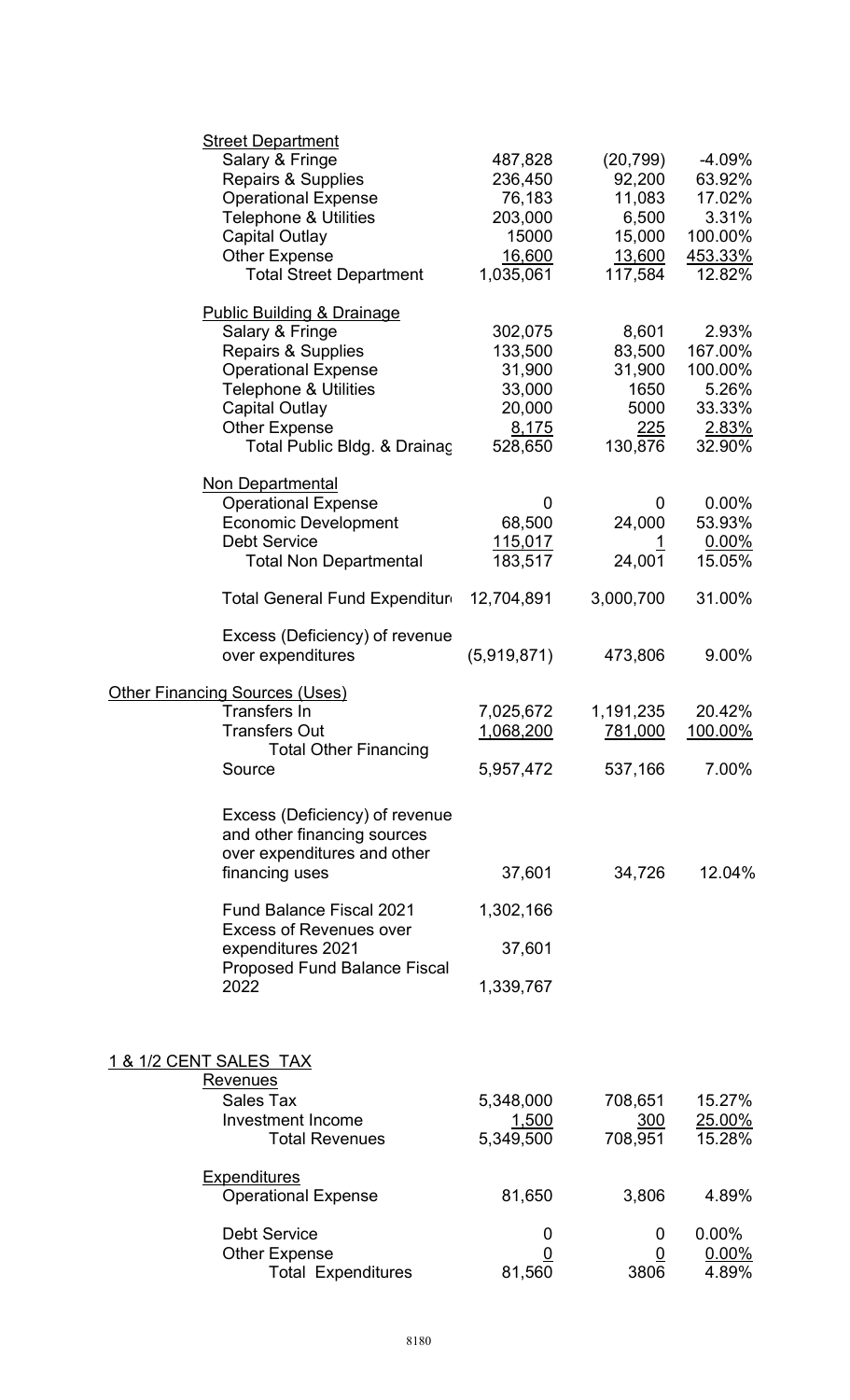|                        | <b>Street Department</b><br>Salary & Fringe<br><b>Repairs &amp; Supplies</b><br><b>Operational Expense</b><br><b>Telephone &amp; Utilities</b><br><b>Capital Outlay</b><br><b>Other Expense</b><br><b>Total Street Department</b>            | 487,828<br>236,450<br>76,183<br>203,000<br>15000<br>16,600<br>1,035,061 | (20, 799)<br>92,200<br>11,083<br>6,500<br>15,000<br>13,600<br>117,584 | $-4.09%$<br>63.92%<br>17.02%<br>3.31%<br>100.00%<br>453.33%<br>12.82% |
|------------------------|----------------------------------------------------------------------------------------------------------------------------------------------------------------------------------------------------------------------------------------------|-------------------------------------------------------------------------|-----------------------------------------------------------------------|-----------------------------------------------------------------------|
|                        | <b>Public Building &amp; Drainage</b><br>Salary & Fringe<br><b>Repairs &amp; Supplies</b><br><b>Operational Expense</b><br><b>Telephone &amp; Utilities</b><br><b>Capital Outlay</b><br><b>Other Expense</b><br>Total Public Bldg. & Drainaç | 302,075<br>133,500<br>31,900<br>33,000<br>20,000<br>8,175<br>528,650    | 8,601<br>83,500<br>31,900<br>1650<br>5000<br>225<br>130,876           | 2.93%<br>167.00%<br>100.00%<br>5.26%<br>33.33%<br>2.83%<br>32.90%     |
|                        | <b>Non Departmental</b><br><b>Operational Expense</b><br><b>Economic Development</b><br><b>Debt Service</b><br><b>Total Non Departmental</b>                                                                                                 | 0<br>68,500<br><u>115,017</u><br>183,517                                | 0<br>24,000<br><u> 1</u><br>24,001                                    | $0.00\%$<br>53.93%<br>$0.00\%$<br>15.05%                              |
|                        | Total General Fund Expenditur                                                                                                                                                                                                                | 12,704,891                                                              | 3,000,700                                                             | 31.00%                                                                |
|                        | Excess (Deficiency) of revenue<br>over expenditures                                                                                                                                                                                          | (5,919,871)                                                             | 473,806                                                               | 9.00%                                                                 |
|                        | <b>Other Financing Sources (Uses)</b><br><b>Transfers In</b><br><b>Transfers Out</b><br><b>Total Other Financing</b>                                                                                                                         | 7,025,672<br>1,068,200                                                  | 1,191,235<br>781,000                                                  | 20.42%<br>100.00%                                                     |
|                        | Source                                                                                                                                                                                                                                       | 5,957,472                                                               | 537,166                                                               | 7.00%                                                                 |
|                        | Excess (Deficiency) of revenue<br>and other financing sources<br>over expenditures and other<br>financing uses<br>Fund Balance Fiscal 2021                                                                                                   | 37,601<br>1,302,166                                                     | 34,726                                                                | 12.04%                                                                |
|                        | <b>Excess of Revenues over</b><br>expenditures 2021                                                                                                                                                                                          | 37,601                                                                  |                                                                       |                                                                       |
|                        | <b>Proposed Fund Balance Fiscal</b><br>2022                                                                                                                                                                                                  | 1,339,767                                                               |                                                                       |                                                                       |
| 1 & 1/2 CENT SALES TAX | Revenues<br><b>Sales Tax</b>                                                                                                                                                                                                                 | 5,348,000                                                               | 708,651                                                               | 15.27%                                                                |
|                        | <b>Investment Income</b><br><b>Total Revenues</b>                                                                                                                                                                                            | 1,500<br>5,349,500                                                      | 300<br>708,951                                                        | 25.00%<br>15.28%                                                      |
|                        | <b>Expenditures</b><br><b>Operational Expense</b>                                                                                                                                                                                            | 81,650                                                                  | 3,806                                                                 | 4.89%                                                                 |
|                        | <b>Debt Service</b><br><b>Other Expense</b><br><b>Total Expenditures</b>                                                                                                                                                                     | 0<br>0<br>81,560                                                        | 0<br>0<br>3806                                                        | $0.00\%$<br>0.00%<br>4.89%                                            |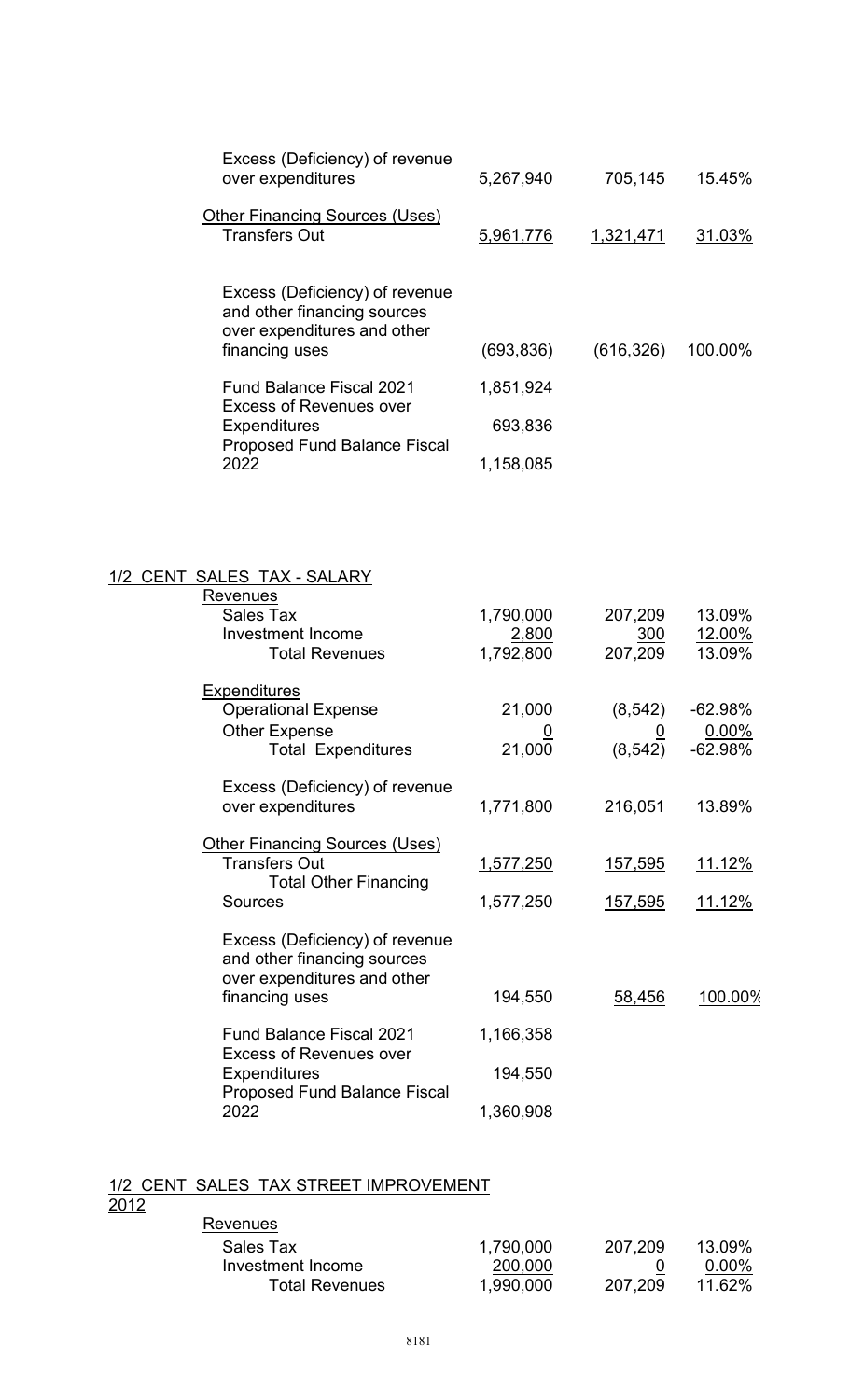| Excess (Deficiency) of revenue<br>over expenditures                                                            | 5,267,940  | 705,145    | 15.45%  |
|----------------------------------------------------------------------------------------------------------------|------------|------------|---------|
| <b>Other Financing Sources (Uses)</b><br><b>Transfers Out</b>                                                  | 5,961,776  | 1,321,471  | 31.03%  |
| Excess (Deficiency) of revenue<br>and other financing sources<br>over expenditures and other<br>financing uses | (693, 836) | (616, 326) | 100.00% |
| <b>Fund Balance Fiscal 2021</b><br><b>Excess of Revenues over</b>                                              | 1,851,924  |            |         |
| <b>Expenditures</b><br><b>Proposed Fund Balance Fiscal</b>                                                     | 693,836    |            |         |
| 2022                                                                                                           | 1,158,085  |            |         |

| 1/2 CENT SALES TAX - SALARY                                                                  |                |                |               |
|----------------------------------------------------------------------------------------------|----------------|----------------|---------------|
| <b>Revenues</b>                                                                              |                |                |               |
| <b>Sales Tax</b>                                                                             | 1,790,000      | 207,209        | 13.09%        |
| <b>Investment Income</b>                                                                     | 2,800          | 300            | 12.00%        |
| <b>Total Revenues</b>                                                                        | 1,792,800      | 207,209        | 13.09%        |
| <b>Expenditures</b>                                                                          |                |                |               |
| <b>Operational Expense</b>                                                                   | 21,000         | (8, 542)       | $-62.98%$     |
| <b>Other Expense</b>                                                                         | $\overline{0}$ | $\overline{0}$ | 0.00%         |
| <b>Total Expenditures</b>                                                                    | 21,000         | (8, 542)       | $-62.98%$     |
| Excess (Deficiency) of revenue                                                               |                |                |               |
| over expenditures                                                                            | 1,771,800      | 216,051        | 13.89%        |
| <b>Other Financing Sources (Uses)</b>                                                        |                |                |               |
| <b>Transfers Out</b>                                                                         | 1,577,250      | <u>157,595</u> | <u>11.12%</u> |
| <b>Total Other Financing</b>                                                                 |                |                |               |
| <b>Sources</b>                                                                               | 1,577,250      | 157,595        | <u>11.12%</u> |
| Excess (Deficiency) of revenue<br>and other financing sources<br>over expenditures and other |                |                |               |
| financing uses                                                                               | 194,550        | 58,456         | 100.00%       |
| <b>Fund Balance Fiscal 2021</b><br><b>Excess of Revenues over</b>                            | 1,166,358      |                |               |
| <b>Expenditures</b><br><b>Proposed Fund Balance Fiscal</b>                                   | 194,550        |                |               |
| 2022                                                                                         | 1,360,908      |                |               |

#### 1/2 CENT SALES TAX STREET IMPROVEMENT

2012

| Revenues          |           |         |          |
|-------------------|-----------|---------|----------|
| Sales Tax         | 1,790,000 | 207.209 | 13.09%   |
| Investment Income | 200,000   |         | $0.00\%$ |
| Total Revenues    | 1,990,000 | 207.209 | 11.62%   |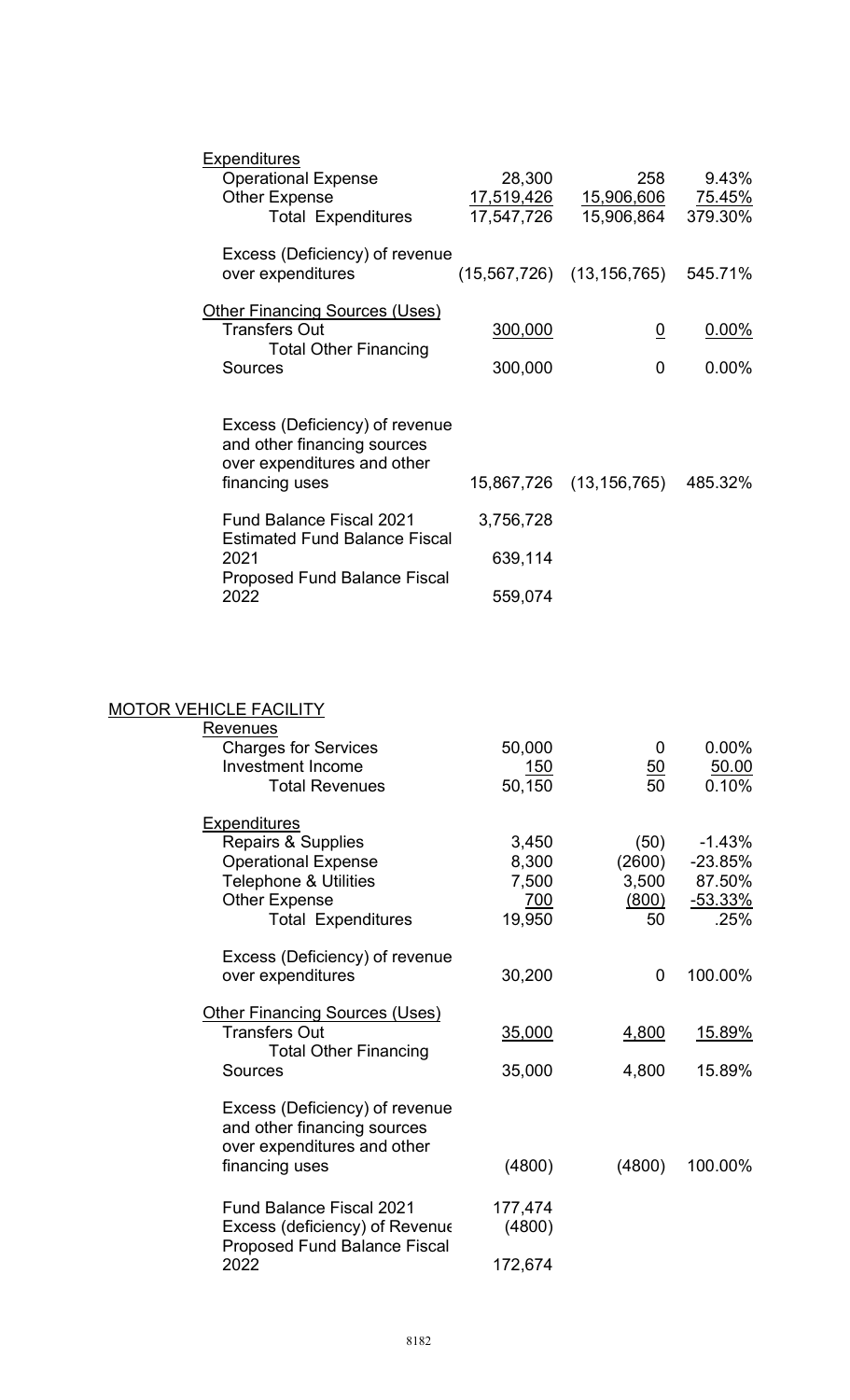| <b>Expenditures</b>                                                                                            |            |                                   |          |
|----------------------------------------------------------------------------------------------------------------|------------|-----------------------------------|----------|
| <b>Operational Expense</b>                                                                                     | 28,300     | 258                               | 9.43%    |
| <b>Other Expense</b>                                                                                           | 17,519,426 | <u>15,906,60</u> 6                | 75.45%   |
| <b>Total Expenditures</b>                                                                                      | 17,547,726 | 15,906,864                        | 379.30%  |
| Excess (Deficiency) of revenue<br>over expenditures                                                            |            | (15,567,726) (13,156,765) 545.71% |          |
| <b>Other Financing Sources (Uses)</b>                                                                          |            |                                   |          |
| <b>Transfers Out</b>                                                                                           | 300,000    | $\overline{0}$                    | $0.00\%$ |
| <b>Total Other Financing</b>                                                                                   |            |                                   |          |
| <b>Sources</b>                                                                                                 | 300,000    | 0                                 | $0.00\%$ |
| Excess (Deficiency) of revenue<br>and other financing sources<br>over expenditures and other<br>financing uses |            | 15,867,726 (13,156,765)           | 485.32%  |
| <b>Fund Balance Fiscal 2021</b>                                                                                | 3,756,728  |                                   |          |
| <b>Estimated Fund Balance Fiscal</b><br>2021<br><b>Proposed Fund Balance Fiscal</b>                            | 639,114    |                                   |          |
| 2022                                                                                                           | 559,074    |                                   |          |

# MOTOR VEHICLE FACILITY

| <b>Revenues</b>                       |         |                  |                |
|---------------------------------------|---------|------------------|----------------|
| <b>Charges for Services</b>           | 50,000  | 0                | $0.00\%$       |
| <b>Investment Income</b>              | 150     | $\underline{50}$ | 50.00          |
| <b>Total Revenues</b>                 | 50,150  | 50               | 0.10%          |
|                                       |         |                  |                |
| <b>Expenditures</b>                   |         |                  |                |
| <b>Repairs &amp; Supplies</b>         | 3,450   | (50)             | $-1.43%$       |
| <b>Operational Expense</b>            | 8,300   | (2600)           | $-23.85%$      |
| <b>Telephone &amp; Utilities</b>      | 7,500   | 3,500            | 87.50%         |
| <b>Other Expense</b>                  | 700     | (800)            | <u>-53.33%</u> |
| <b>Total Expenditures</b>             | 19,950  | 50               | .25%           |
|                                       |         |                  |                |
| Excess (Deficiency) of revenue        |         |                  |                |
| over expenditures                     | 30,200  | 0                | 100.00%        |
|                                       |         |                  |                |
| <b>Other Financing Sources (Uses)</b> |         |                  |                |
| <b>Transfers Out</b>                  | 35,000  | 4,800            | 15.89%         |
| <b>Total Other Financing</b>          |         |                  |                |
| <b>Sources</b>                        | 35,000  | 4,800            | 15.89%         |
|                                       |         |                  |                |
| Excess (Deficiency) of revenue        |         |                  |                |
| and other financing sources           |         |                  |                |
| over expenditures and other           |         |                  |                |
| financing uses                        | (4800)  | (4800)           | 100.00%        |
|                                       |         |                  |                |
| <b>Fund Balance Fiscal 2021</b>       | 177,474 |                  |                |
| Excess (deficiency) of Revenue        | (4800)  |                  |                |
| <b>Proposed Fund Balance Fiscal</b>   |         |                  |                |
| 2022                                  | 172,674 |                  |                |
|                                       |         |                  |                |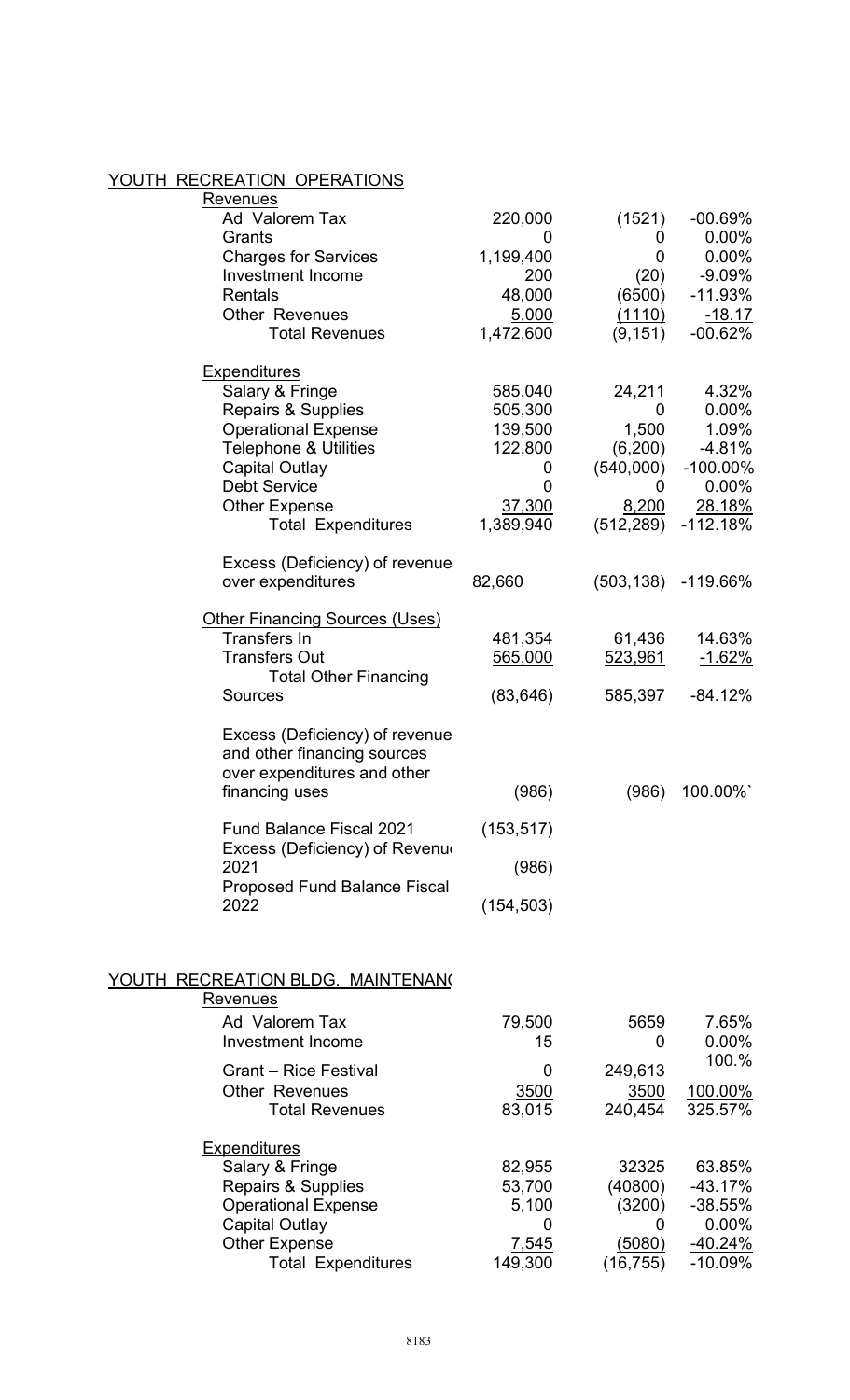#### YOUTH RECREATION OPERATIONS

| <u>Revenues</u>                          |            |             |                |
|------------------------------------------|------------|-------------|----------------|
| Ad Valorem Tax                           | 220,000    | (1521)      | $-00.69%$      |
| Grants                                   | 0          | 0           | 0.00%          |
| <b>Charges for Services</b>              | 1,199,400  | $\mathbf 0$ | 0.00%          |
| <b>Investment Income</b>                 | 200        | (20)        | $-9.09%$       |
| <b>Rentals</b>                           | 48,000     | (6500)      | $-11.93%$      |
| <b>Other Revenues</b>                    | 5,000      | (1110)      | $-18.17$       |
| <b>Total Revenues</b>                    | 1,472,600  | (9, 151)    | $-00.62%$      |
| <u>Expenditures</u>                      |            |             |                |
| Salary & Fringe                          | 585,040    | 24,211      | 4.32%          |
| <b>Repairs &amp; Supplies</b>            | 505,300    | 0           | 0.00%          |
| <b>Operational Expense</b>               | 139,500    | 1,500       | 1.09%          |
| <b>Telephone &amp; Utilities</b>         | 122,800    | (6, 200)    | $-4.81%$       |
| <b>Capital Outlay</b>                    | 0          | (540,000)   | $-100.00\%$    |
| <b>Debt Service</b>                      | 0          | 0           | 0.00%          |
| <b>Other Expense</b>                     | 37,300     | 8,200       | 28.18%         |
| <b>Total Expenditures</b>                | 1,389,940  | (512, 289)  | -112.18%       |
|                                          |            |             |                |
| Excess (Deficiency) of revenue           |            |             |                |
| over expenditures                        | 82,660     | (503, 138)  | $-119.66%$     |
| <b>Other Financing Sources (Uses)</b>    |            |             |                |
| <b>Transfers In</b>                      | 481,354    | 61,436      | 14.63%         |
| <b>Transfers Out</b>                     | 565,000    | 523,961     | <u>-1.62%</u>  |
| <b>Total Other Financing</b>             |            |             |                |
| <b>Sources</b>                           | (83, 646)  | 585,397     | $-84.12%$      |
|                                          |            |             |                |
| Excess (Deficiency) of revenue           |            |             |                |
| and other financing sources              |            |             |                |
| over expenditures and other              |            |             |                |
| financing uses                           | (986)      | (986)       | 100.00%        |
| <b>Fund Balance Fiscal 2021</b>          | (153, 517) |             |                |
| Excess (Deficiency) of Revenue           |            |             |                |
| 2021                                     | (986)      |             |                |
| <b>Proposed Fund Balance Fiscal</b>      |            |             |                |
| 2022                                     | (154, 503) |             |                |
|                                          |            |             |                |
|                                          |            |             |                |
| <u>YOUTH RECREATION BLDG. MAINTENAN(</u> |            |             |                |
| <u>Revenues</u>                          |            |             |                |
| Ad Valorem Tax                           | 79,500     | 5659        | 7.65%          |
| <b>Investment Income</b>                 | 15         | 0           | 0.00%          |
| <b>Grant - Rice Festival</b>             | 0          | 249,613     | 100.%          |
| <b>Other Revenues</b>                    | 3500       | 3500        | <u>100.00%</u> |
| <b>Total Revenues</b>                    | 83,015     | 240,454     | 325.57%        |
|                                          |            |             |                |
| <u>Expenditures</u>                      |            |             |                |
| Salary & Fringe                          | 82,955     | 32325       | 63.85%         |
| <b>Repairs &amp; Supplies</b>            | 53,700     | (40800)     | $-43.17%$      |
| <b>Operational Expense</b>               | 5,100      | (3200)      | $-38.55%$      |
| <b>Capital Outlay</b>                    | 0          | 0           | 0.00%          |
| <b>Other Expense</b>                     | 7,545      | (5080)      | <u>-40.24%</u> |
| <b>Total Expenditures</b>                | 149,300    | (16, 755)   | $-10.09%$      |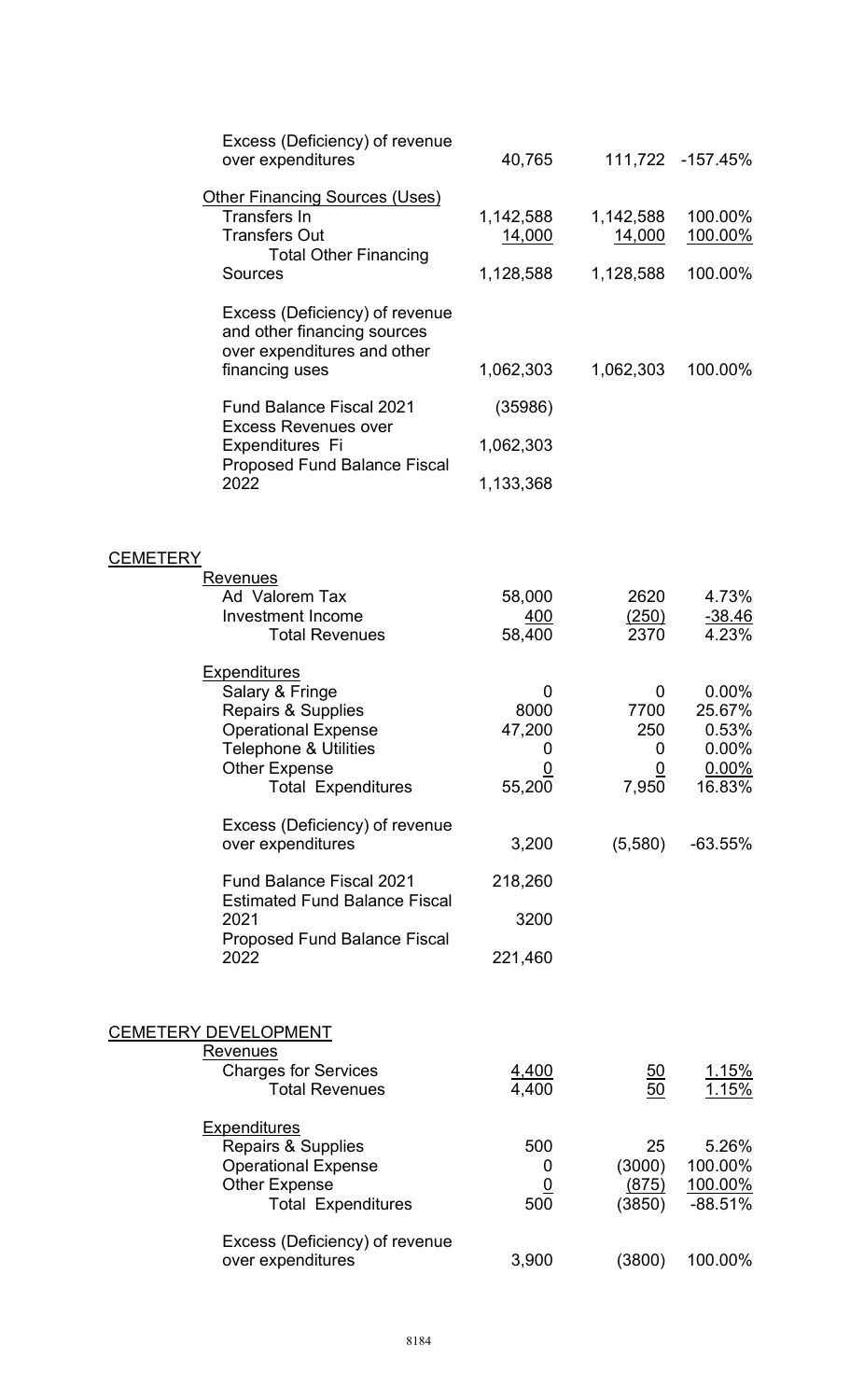|                 | Excess (Deficiency) of revenue<br>over expenditures                                                                  | 40,765                     |                     | 111,722 -157.45%   |
|-----------------|----------------------------------------------------------------------------------------------------------------------|----------------------------|---------------------|--------------------|
|                 | <b>Other Financing Sources (Uses)</b><br><b>Transfers In</b><br><b>Transfers Out</b><br><b>Total Other Financing</b> | 1,142,588<br><u>14,000</u> | 1,142,588<br>14,000 | 100.00%<br>100.00% |
|                 | <b>Sources</b>                                                                                                       | 1,128,588                  | 1,128,588           | 100.00%            |
|                 | Excess (Deficiency) of revenue<br>and other financing sources<br>over expenditures and other<br>financing uses       | 1,062,303                  | 1,062,303           | 100.00%            |
|                 | <b>Fund Balance Fiscal 2021</b>                                                                                      | (35986)                    |                     |                    |
|                 | <b>Excess Revenues over</b><br>Expenditures Fi                                                                       | 1,062,303                  |                     |                    |
|                 | <b>Proposed Fund Balance Fiscal</b><br>2022                                                                          | 1,133,368                  |                     |                    |
| <b>CEMETERY</b> |                                                                                                                      |                            |                     |                    |
|                 | <u>Revenues</u><br>Ad Valorem Tax                                                                                    | 58,000                     | 2620                | 4.73%              |
|                 | <b>Investment Income</b>                                                                                             | 400                        | (250)               | $-38.46$           |
|                 | <b>Total Revenues</b>                                                                                                | 58,400                     | 2370                | 4.23%              |
|                 | <b>Expenditures</b>                                                                                                  |                            |                     |                    |
|                 | Salary & Fringe<br><b>Repairs &amp; Supplies</b>                                                                     | 0<br>8000                  | 0<br>7700           | 0.00%<br>25.67%    |
|                 | <b>Operational Expense</b>                                                                                           | 47,200                     | 250                 | 0.53%              |
|                 | <b>Telephone &amp; Utilities</b>                                                                                     | 0                          | 0                   | 0.00%              |
|                 | <b>Other Expense</b><br><b>Total Expenditures</b>                                                                    | 55,200                     | <u>0</u><br>7,950   | 0.00%<br>16.83%    |
|                 | Excess (Deficiency) of revenue                                                                                       |                            |                     |                    |
|                 | over expenditures                                                                                                    | 3,200                      | (5,580)             | $-63.55%$          |
|                 | <b>Fund Balance Fiscal 2021</b>                                                                                      | 218,260                    |                     |                    |
|                 | <b>Estimated Fund Balance Fiscal</b><br>2021                                                                         | 3200                       |                     |                    |
|                 | <b>Proposed Fund Balance Fiscal</b><br>2022                                                                          | 221,460                    |                     |                    |
|                 |                                                                                                                      |                            |                     |                    |
|                 | <u>CEMETERY DEVELOPMENT</u>                                                                                          |                            |                     |                    |
|                 | <u>Revenues</u><br><b>Charges for Services</b>                                                                       |                            |                     | <u>1.15%</u>       |
|                 | <b>Total Revenues</b>                                                                                                | <u>4,400</u><br>4,400      | $\frac{50}{50}$     | 1.15%              |
|                 | <b>Expenditures</b>                                                                                                  |                            |                     |                    |
|                 | <b>Repairs &amp; Supplies</b>                                                                                        | 500                        | 25                  | 5.26%              |
|                 | <b>Operational Expense</b><br><b>Other Expense</b>                                                                   | 0                          | (3000)<br>(875)     | 100.00%<br>100.00% |
|                 | <b>Total Expenditures</b>                                                                                            | <u>0</u><br>500            | (3850)              | $-88.51%$          |
|                 | Excess (Deficiency) of revenue                                                                                       |                            |                     |                    |
|                 | over expenditures                                                                                                    | 3,900                      | (3800)              | 100.00%            |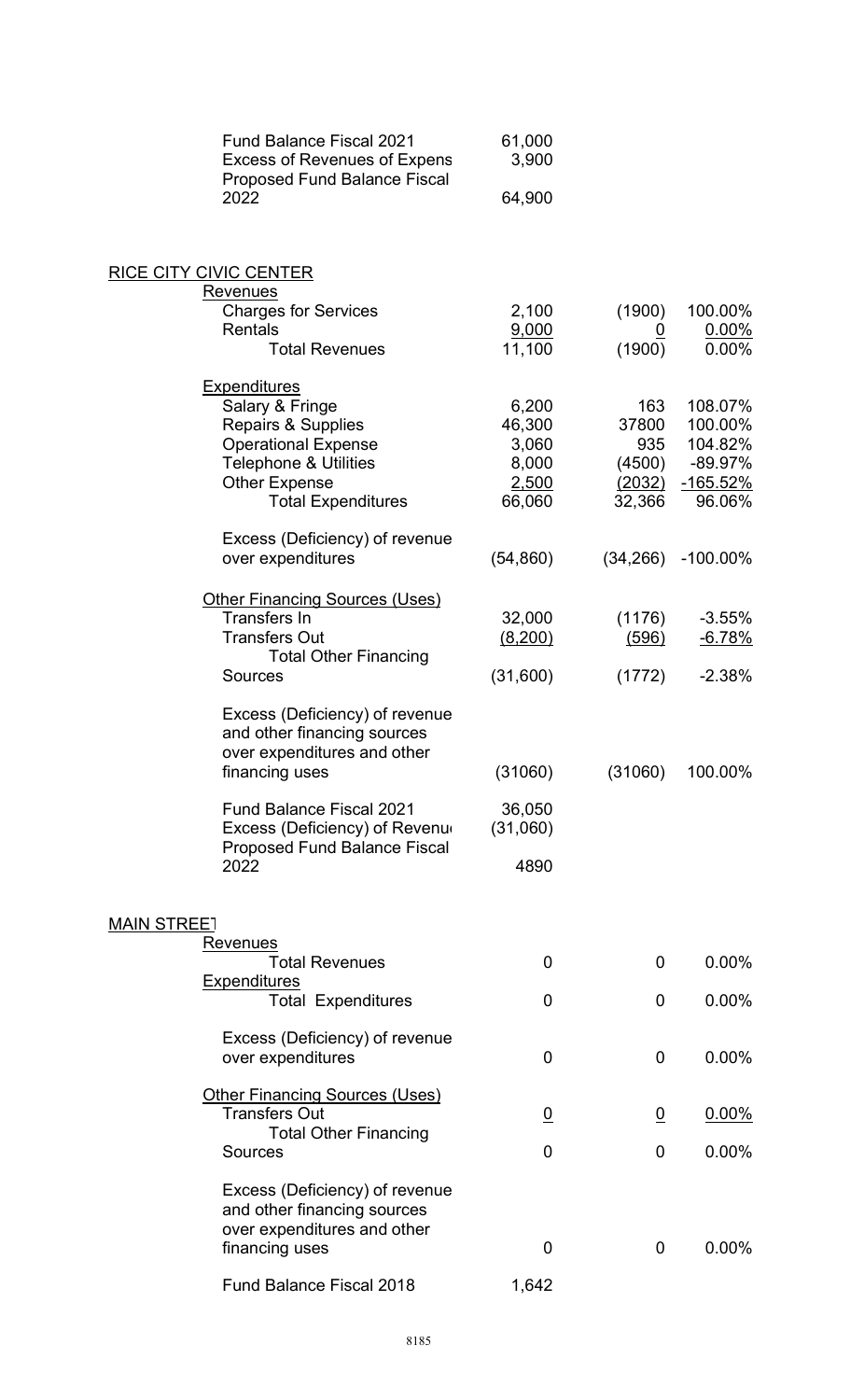| <b>Fund Balance Fiscal 2021</b><br><b>Excess of Revenues of Expens</b><br><b>Proposed Fund Balance Fiscal</b> | 61,000<br>3,900 |                |                    |
|---------------------------------------------------------------------------------------------------------------|-----------------|----------------|--------------------|
| 2022                                                                                                          | 64,900          |                |                    |
| <b>RICE CITY CIVIC CENTER</b>                                                                                 |                 |                |                    |
| Revenues                                                                                                      |                 |                |                    |
| <b>Charges for Services</b><br><b>Rentals</b>                                                                 | 2,100<br>9,000  | (1900)         | 100.00%<br>0.00%   |
| <b>Total Revenues</b>                                                                                         | 11,100          | (1900)         | 0.00%              |
| <b>Expenditures</b>                                                                                           |                 |                |                    |
| Salary & Fringe                                                                                               | 6,200           | 163            | 108.07%            |
| <b>Repairs &amp; Supplies</b>                                                                                 | 46,300<br>3,060 | 37800<br>935   | 100.00%<br>104.82% |
| <b>Operational Expense</b><br><b>Telephone &amp; Utilities</b>                                                | 8,000           | (4500)         | $-89.97%$          |
| <b>Other Expense</b>                                                                                          | 2,500           | (2032)         | <u>-165.52%</u>    |
| <b>Total Expenditures</b>                                                                                     | 66,060          | 32,366         | 96.06%             |
| Excess (Deficiency) of revenue<br>over expenditures                                                           | (54, 860)       | (34, 266)      | $-100.00\%$        |
| <b>Other Financing Sources (Uses)</b>                                                                         |                 |                |                    |
| <b>Transfers In</b>                                                                                           | 32,000          | (1176)         | $-3.55%$           |
| <b>Transfers Out</b>                                                                                          | (8,200)         | (596)          | $-6.78%$           |
| <b>Total Other Financing</b><br><b>Sources</b>                                                                | (31,600)        | (1772)         | $-2.38%$           |
| Excess (Deficiency) of revenue<br>and other financing sources<br>over expenditures and other                  |                 |                |                    |
| financing uses                                                                                                | (31060)         | (31060)        | 100.00%            |
| <b>Fund Balance Fiscal 2021</b>                                                                               | 36,050          |                |                    |
| Excess (Deficiency) of Revenu<br><b>Proposed Fund Balance Fiscal</b>                                          | (31,060)        |                |                    |
| 2022                                                                                                          | 4890            |                |                    |
|                                                                                                               |                 |                |                    |
| <b>MAIN STREET</b><br><u>Revenues</u>                                                                         |                 |                |                    |
| <b>Total Revenues</b>                                                                                         | 0               | 0              | $0.00\%$           |
| <b>Expenditures</b><br><b>Total Expenditures</b>                                                              | 0               | 0              | 0.00%              |
| Excess (Deficiency) of revenue                                                                                |                 |                |                    |
| over expenditures                                                                                             | 0               | 0              | $0.00\%$           |
| <b>Other Financing Sources (Uses)</b>                                                                         |                 |                |                    |
| <b>Transfers Out</b>                                                                                          | $\overline{0}$  | $\overline{0}$ | $0.00\%$           |
| <b>Total Other Financing</b><br><b>Sources</b>                                                                | 0               | 0              | 0.00%              |
| Excess (Deficiency) of revenue<br>and other financing sources                                                 |                 |                |                    |
| over expenditures and other                                                                                   |                 |                |                    |
| financing uses                                                                                                | 0               | 0              | 0.00%              |
| Fund Balance Fiscal 2018                                                                                      | 1,642           |                |                    |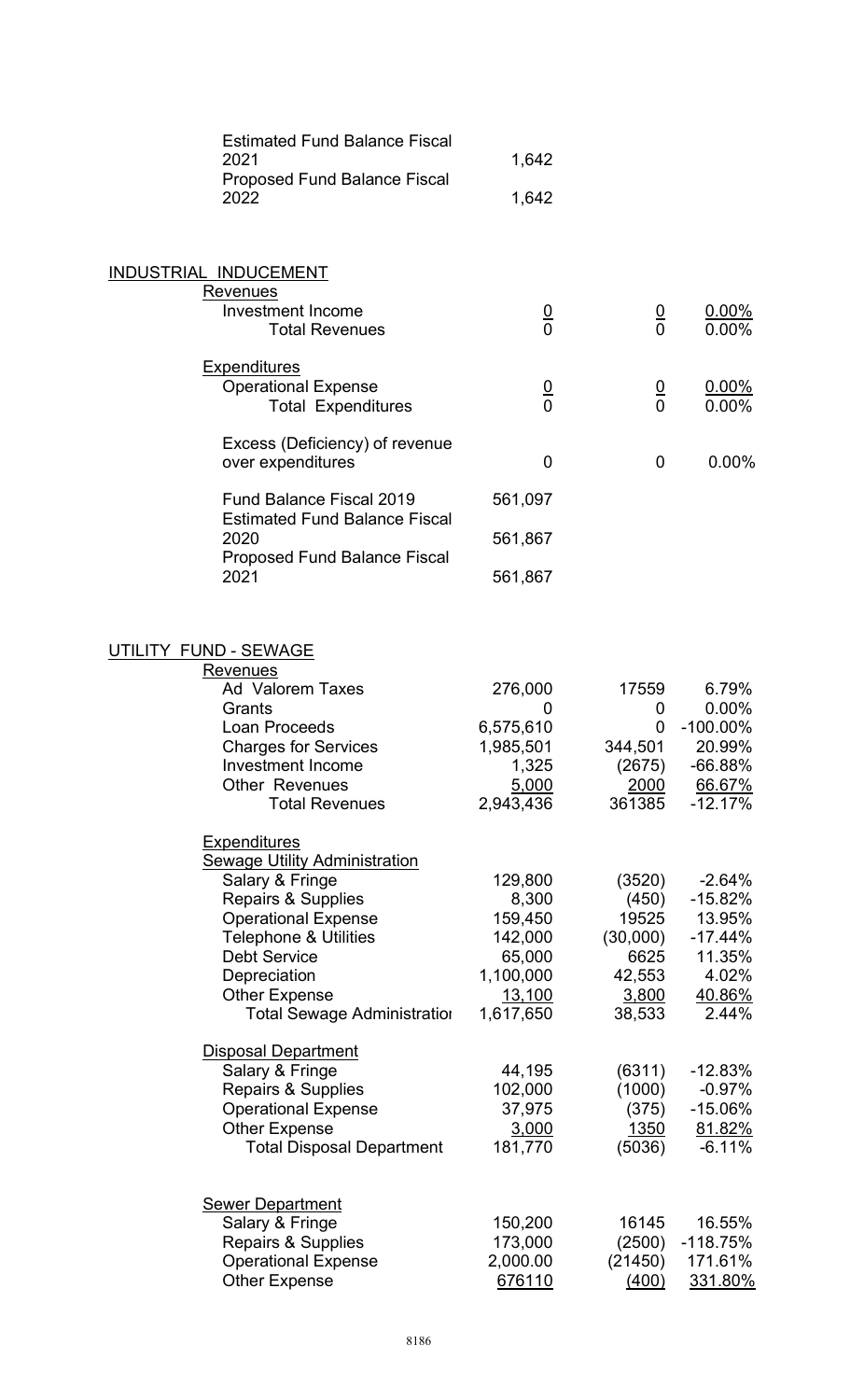| <b>Estimated Fund Balance Fiscal</b> |       |
|--------------------------------------|-------|
| 2021                                 | 1.642 |
| <b>Proposed Fund Balance Fiscal</b>  |       |
| 2022                                 | 1.642 |

# INDUSTRIAL INDUCEMENT **Revenues** Investment Income<br>
Total Revenues<br>  $\begin{array}{ccc}\n0 & 0 & 0.00\% \\
\hline\n0 & 0.00\% \\
\end{array}$ **Total Revenues Expenditures** <u>Operational Expense</u><br>
Total Expenditures 
and 0 0.00%<br>
Operational Expenditures<br>
O 0.00% Total Expenditures Excess (Deficiency) of revenue over expenditures and the contract of the contract of the contract of the contract of the contract of the contract of the contract of the contract of the contract of the contract of the contract of the contract of the cont Fund Balance Fiscal 2019 561,097 Estimated Fund Balance Fiscal 561,867 Proposed Fund Balance Fiscal 2021 561,867

## UTILITY FUND - SEWAGE

| Revenues                                   |           |          |             |
|--------------------------------------------|-----------|----------|-------------|
| <b>Ad Valorem Taxes</b>                    | 276,000   | 17559    | 6.79%       |
| Grants                                     | 0         | 0        | 0.00%       |
| Loan Proceeds                              | 6,575,610 | 0        | $-100.00\%$ |
| <b>Charges for Services</b>                | 1,985,501 | 344,501  | 20.99%      |
| <b>Investment Income</b>                   | 1,325     | (2675)   | $-66.88%$   |
| <b>Other Revenues</b>                      | 5,000     | 2000     | 66.67%      |
| <b>Total Revenues</b>                      | 2,943,436 | 361385   | $-12.17%$   |
| <b>Expenditures</b>                        |           |          |             |
| <b>Sewage Utility Administration</b>       |           |          |             |
| Salary & Fringe                            | 129,800   | (3520)   | $-2.64%$    |
| <b>Repairs &amp; Supplies</b>              | 8,300     | (450)    | $-15.82%$   |
| <b>Operational Expense</b>                 | 159,450   | 19525    | 13.95%      |
| <b>Telephone &amp; Utilities</b>           | 142,000   | (30,000) | $-17.44%$   |
| <b>Debt Service</b>                        | 65,000    | 6625     | 11.35%      |
| Depreciation                               | 1,100,000 | 42,553   | 4.02%       |
| <b>Other Expense</b>                       | 13,100    | 3,800    | 40.86%      |
| <b>Total Sewage Administration</b>         | 1,617,650 | 38,533   | 2.44%       |
| <b>Disposal Department</b>                 |           |          |             |
| Salary & Fringe                            | 44,195    | (6311)   | $-12.83%$   |
| <b>Repairs &amp; Supplies</b>              | 102,000   | (1000)   | $-0.97%$    |
| <b>Operational Expense</b>                 | 37,975    | (375)    | $-15.06%$   |
| <b>Other Expense</b>                       | 3,000     | 1350     | 81.82%      |
| <b>Total Disposal Department</b>           | 181,770   | (5036)   | $-6.11%$    |
|                                            |           |          |             |
| <b>Sewer Department</b><br>Salary & Fringe | 150,200   | 16145    | 16.55%      |
| <b>Repairs &amp; Supplies</b>              | 173,000   | (2500)   | $-118.75%$  |
| <b>Operational Expense</b>                 | 2,000.00  | (21450)  | 171.61%     |
| <b>Other Expense</b>                       | 676110    | (400)    | 331.80%     |
|                                            |           |          |             |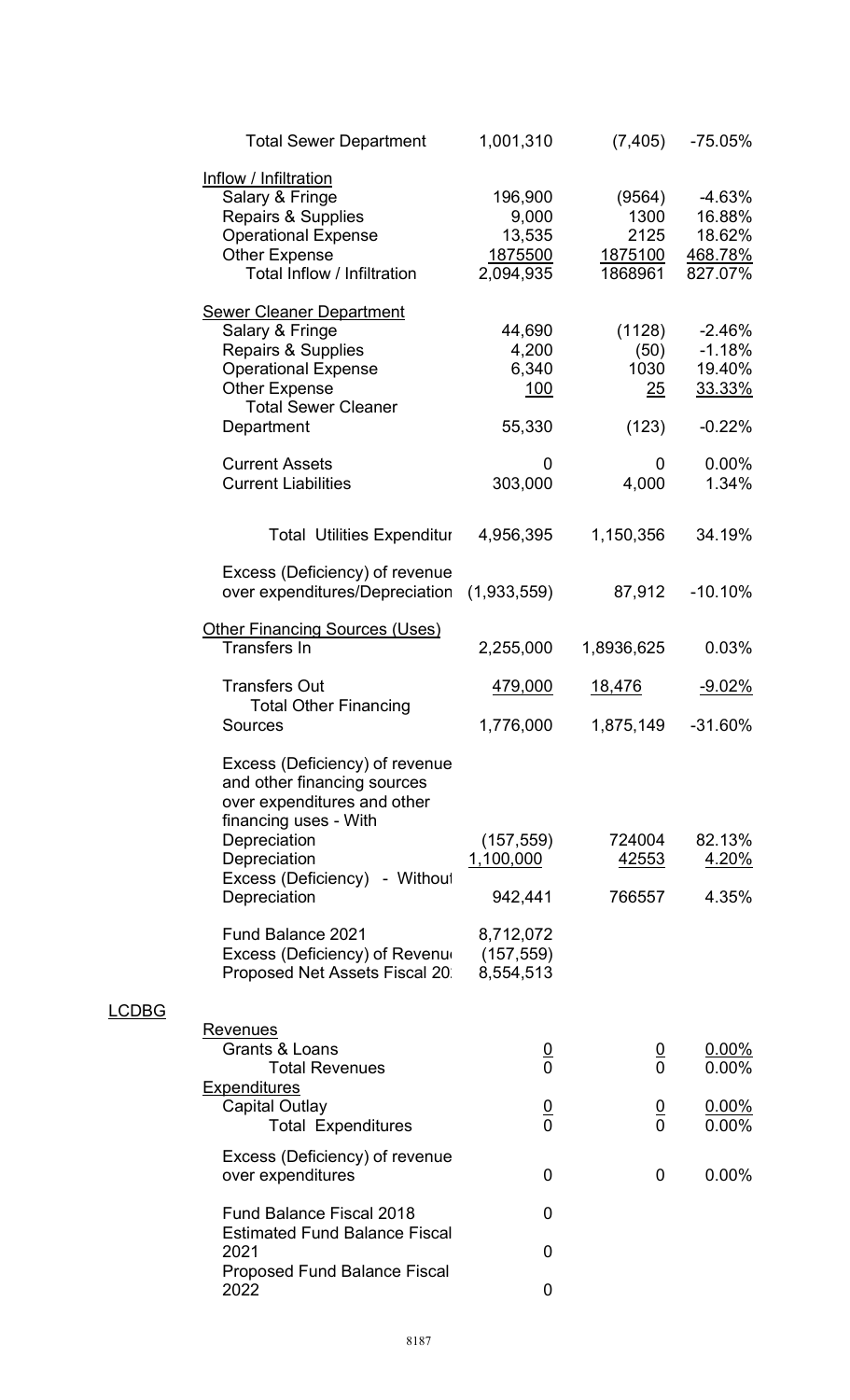|                                                                  | <b>Total Sewer Department</b>                                                                                                                             | 1,001,310                                          | (7, 405)                                     | -75.05%                                              |
|------------------------------------------------------------------|-----------------------------------------------------------------------------------------------------------------------------------------------------------|----------------------------------------------------|----------------------------------------------|------------------------------------------------------|
| Inflow / Infiltration<br>Salary & Fringe<br><b>Other Expense</b> | <b>Repairs &amp; Supplies</b><br><b>Operational Expense</b><br>Total Inflow / Infiltration                                                                | 196,900<br>9,000<br>13,535<br>1875500<br>2,094,935 | (9564)<br>1300<br>2125<br>1875100<br>1868961 | $-4.63%$<br>16.88%<br>18.62%<br>468.78%<br>827.07%   |
| Salary & Fringe<br><b>Other Expense</b><br>Department            | <b>Sewer Cleaner Department</b><br><b>Repairs &amp; Supplies</b><br><b>Operational Expense</b><br><b>Total Sewer Cleaner</b>                              | 44,690<br>4,200<br>6,340<br>100<br>55,330          | (1128)<br>(50)<br>1030<br>25<br>(123)        | $-2.46%$<br>$-1.18%$<br>19.40%<br>33.33%<br>$-0.22%$ |
| <b>Current Assets</b><br><b>Current Liabilities</b>              |                                                                                                                                                           | 0<br>303,000                                       | 0<br>4,000                                   | 0.00%<br>1.34%                                       |
|                                                                  | <b>Total Utilities Expenditur</b>                                                                                                                         | 4,956,395                                          | 1,150,356                                    | 34.19%                                               |
|                                                                  | Excess (Deficiency) of revenue<br>over expenditures/Depreciation                                                                                          | (1,933,559)                                        | 87,912                                       | $-10.10%$                                            |
| <b>Transfers In</b>                                              | <b>Other Financing Sources (Uses)</b>                                                                                                                     | 2,255,000                                          | 1,8936,625                                   | 0.03%                                                |
| <b>Transfers Out</b>                                             | <b>Total Other Financing</b>                                                                                                                              | 479,000                                            | 18,476                                       | <u>-9.02%</u>                                        |
| Sources                                                          |                                                                                                                                                           | 1,776,000                                          | 1,875,149                                    | $-31.60%$                                            |
| Depreciation<br>Depreciation<br>Depreciation                     | Excess (Deficiency) of revenue<br>and other financing sources<br>over expenditures and other<br>financing uses - With<br>Excess (Deficiency)<br>- Without | (157, 559)<br><u>1,100,000</u><br>942,441          | 724004<br><u>42553</u><br>766557             | 82.13%<br><u>4.20%</u><br>4.35%                      |
|                                                                  | <b>Fund Balance 2021</b><br>Excess (Deficiency) of Revenu<br>Proposed Net Assets Fiscal 20                                                                | 8,712,072<br>(157, 559)<br>8,554,513               |                                              |                                                      |
| Revenues<br>Grants & Loans                                       | <b>Total Revenues</b>                                                                                                                                     | $\frac{0}{0}$                                      | $\frac{0}{0}$                                | $0.00\%$<br>$0.00\%$                                 |
| <u>Expenditures</u><br>Capital Outlay                            | <b>Total Expenditures</b>                                                                                                                                 | $\frac{0}{0}$                                      | $\frac{0}{0}$                                | $0.00\%$<br>$0.00\%$                                 |
| over expenditures                                                | Excess (Deficiency) of revenue                                                                                                                            | 0                                                  | $\mathbf 0$                                  | $0.00\%$                                             |
|                                                                  | <b>Fund Balance Fiscal 2018</b><br><b>Estimated Fund Balance Fiscal</b>                                                                                   | 0                                                  |                                              |                                                      |
| 2021                                                             | <b>Proposed Fund Balance Fiscal</b>                                                                                                                       | 0                                                  |                                              |                                                      |
| 2022                                                             |                                                                                                                                                           | 0                                                  |                                              |                                                      |

LCDBG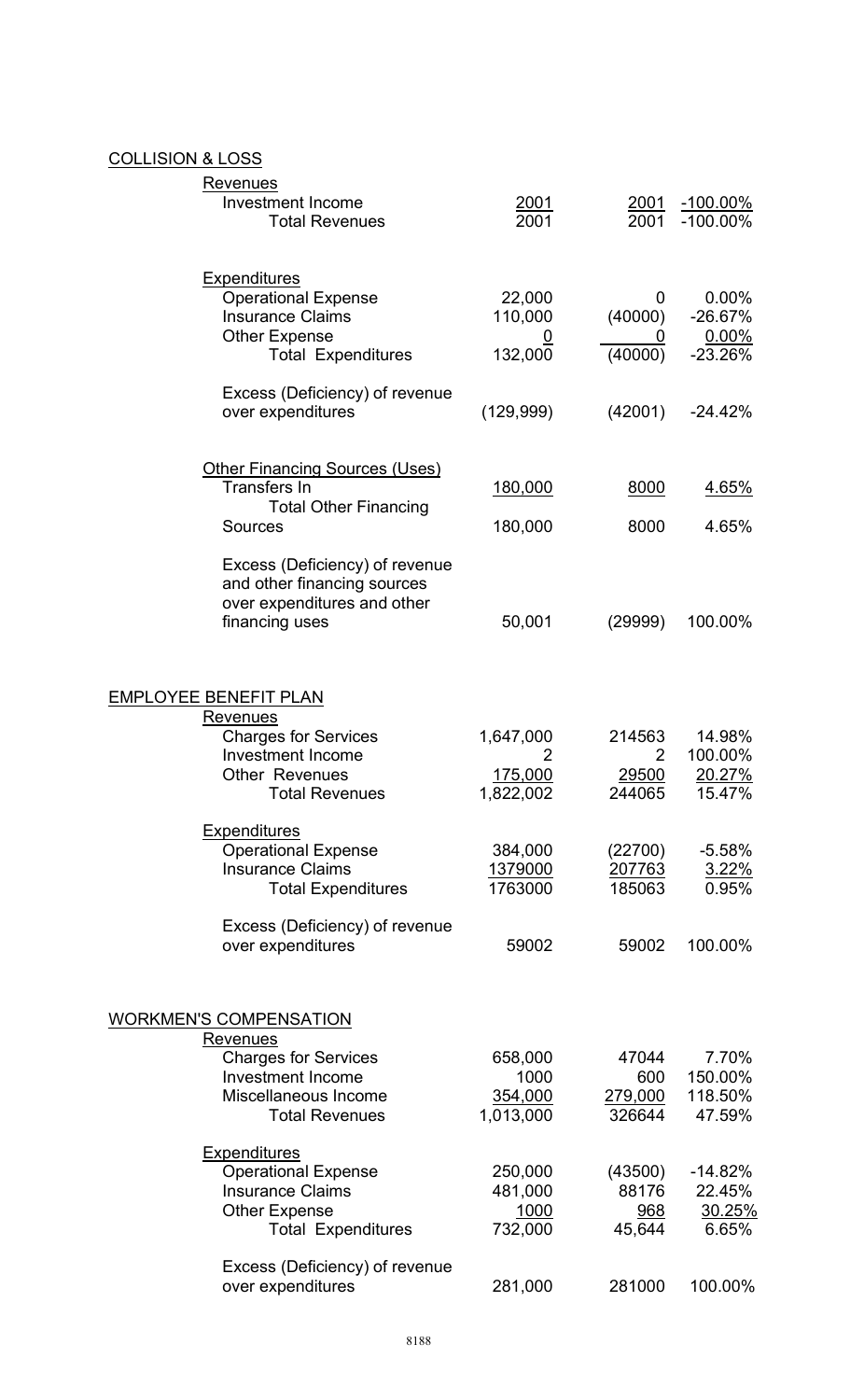# COLLISION & LOSS

| <u>Revenues</u><br><b>Investment Income</b><br><b>Total Revenues</b>                                                              | <u>2001</u><br>2001                     | <u>2001</u><br>2001                      | <u>-100.00%</u><br>$-100.00\%$           |
|-----------------------------------------------------------------------------------------------------------------------------------|-----------------------------------------|------------------------------------------|------------------------------------------|
| <b>Expenditures</b><br><b>Operational Expense</b><br><b>Insurance Claims</b><br><b>Other Expense</b><br><b>Total Expenditures</b> | 22,000<br>110,000<br>132,000            | 0<br>(40000)<br>(40000)                  | 0.00%<br>$-26.67%$<br>0.00%<br>$-23.26%$ |
| Excess (Deficiency) of revenue<br>over expenditures                                                                               | (129, 999)                              | (42001)                                  | $-24.42%$                                |
| <b>Other Financing Sources (Uses)</b><br><b>Transfers In</b><br><b>Total Other Financing</b><br><b>Sources</b>                    | 180,000<br>180,000                      | 8000<br>8000                             | <u>4.65%</u><br>4.65%                    |
| Excess (Deficiency) of revenue<br>and other financing sources<br>over expenditures and other<br>financing uses                    | 50,001                                  | (29999)                                  | 100.00%                                  |
| <b>EMPLOYEE BENEFIT PLAN</b>                                                                                                      |                                         |                                          |                                          |
| <u>Revenues</u><br><b>Charges for Services</b><br><b>Investment Income</b><br><b>Other Revenues</b><br><b>Total Revenues</b>      | 1,647,000<br>2<br>175,000<br>1,822,002  | 214563<br>2<br>29500<br>244065           | 14.98%<br>100.00%<br>20.27%<br>15.47%    |
| <b>Expenditures</b><br><b>Operational Expense</b><br><b>Insurance Claims</b><br><b>Total Expenditures</b>                         | 384,000<br>1379000<br>1763000           | (22700)<br>207763<br>185063              | $-5.58%$<br>3.22%<br>0.95%               |
| Excess (Deficiency) of revenue<br>over expenditures                                                                               | 59002                                   | 59002                                    | 100.00%                                  |
| <b>WORKMEN'S COMPENSATION</b><br><b>Revenues</b>                                                                                  |                                         |                                          |                                          |
| <b>Charges for Services</b><br><b>Investment Income</b><br>Miscellaneous Income<br><b>Total Revenues</b>                          | 658,000<br>1000<br>354,000<br>1,013,000 | 47044<br>600<br>279,000<br>326644        | 7.70%<br>150.00%<br>118.50%<br>47.59%    |
| <b>Expenditures</b><br><b>Operational Expense</b><br><b>Insurance Claims</b><br><b>Other Expense</b><br><b>Total Expenditures</b> | 250,000<br>481,000<br>1000<br>732,000   | (43500)<br>88176<br><u>968</u><br>45,644 | $-14.82%$<br>22.45%<br>30.25%<br>6.65%   |
| Excess (Deficiency) of revenue<br>over expenditures                                                                               | 281,000                                 | 281000                                   | 100.00%                                  |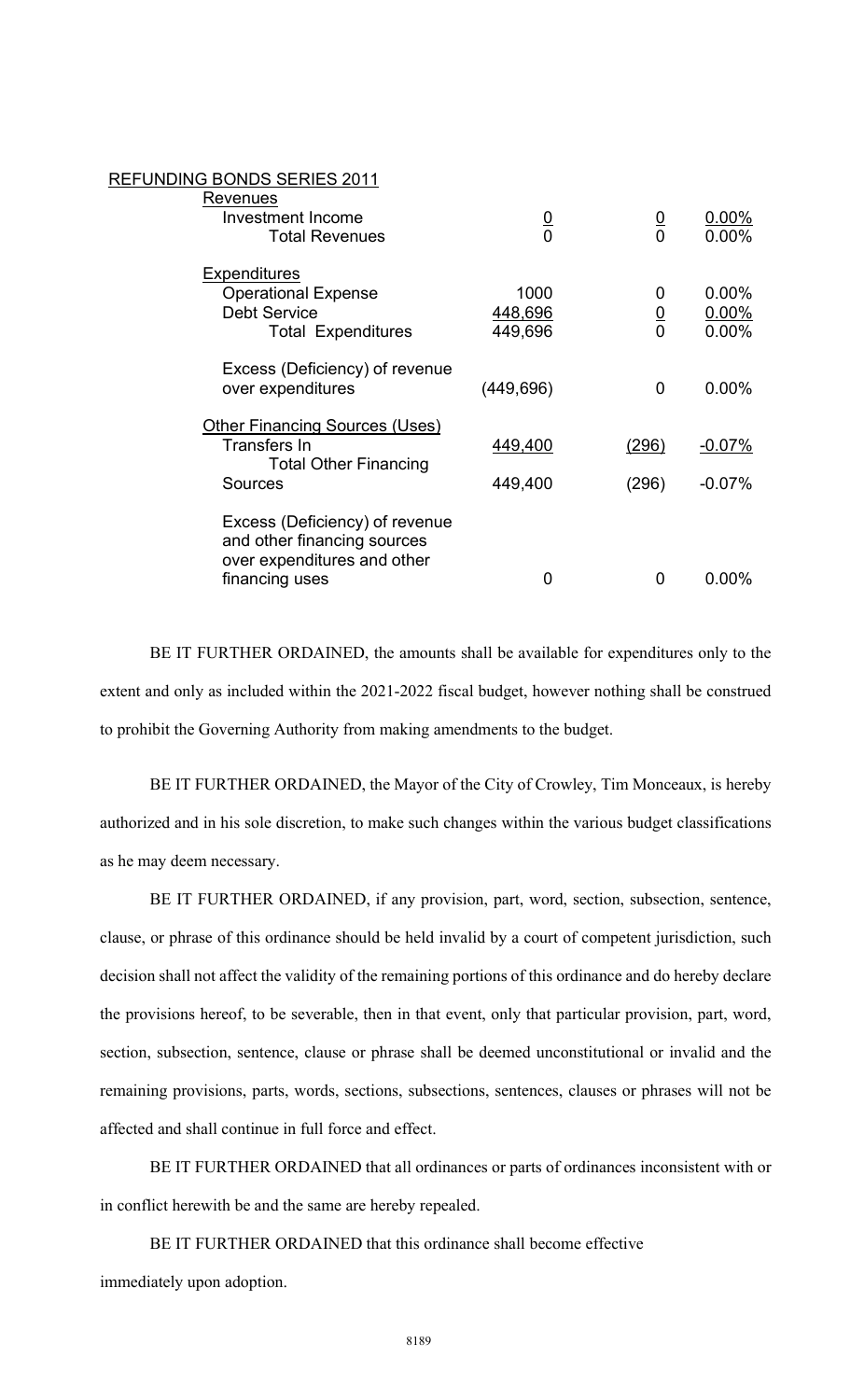#### REFUNDING BONDS SERIES 2011

| $\frac{0}{0}$              | $\frac{0}{0}$      | $0.00\%$<br>$0.00\%$             |
|----------------------------|--------------------|----------------------------------|
| 1000<br>448,696<br>449,696 | 0<br>$\frac{0}{0}$ | $0.00\%$<br>$0.00\%$<br>$0.00\%$ |
| (449, 696)                 | 0                  | $0.00\%$                         |
| 449,400<br>449,400         | (296)<br>(296)     | $-0.07\%$<br>$-0.07%$            |
| O                          | 0                  | $0.00\%$                         |
|                            |                    |                                  |

 BE IT FURTHER ORDAINED, the amounts shall be available for expenditures only to the extent and only as included within the 2021-2022 fiscal budget, however nothing shall be construed to prohibit the Governing Authority from making amendments to the budget.

BE IT FURTHER ORDAINED, the Mayor of the City of Crowley, Tim Monceaux, is hereby authorized and in his sole discretion, to make such changes within the various budget classifications as he may deem necessary.

BE IT FURTHER ORDAINED, if any provision, part, word, section, subsection, sentence, clause, or phrase of this ordinance should be held invalid by a court of competent jurisdiction, such decision shall not affect the validity of the remaining portions of this ordinance and do hereby declare the provisions hereof, to be severable, then in that event, only that particular provision, part, word, section, subsection, sentence, clause or phrase shall be deemed unconstitutional or invalid and the remaining provisions, parts, words, sections, subsections, sentences, clauses or phrases will not be affected and shall continue in full force and effect.

BE IT FURTHER ORDAINED that all ordinances or parts of ordinances inconsistent with or in conflict herewith be and the same are hereby repealed.

 BE IT FURTHER ORDAINED that this ordinance shall become effective immediately upon adoption.